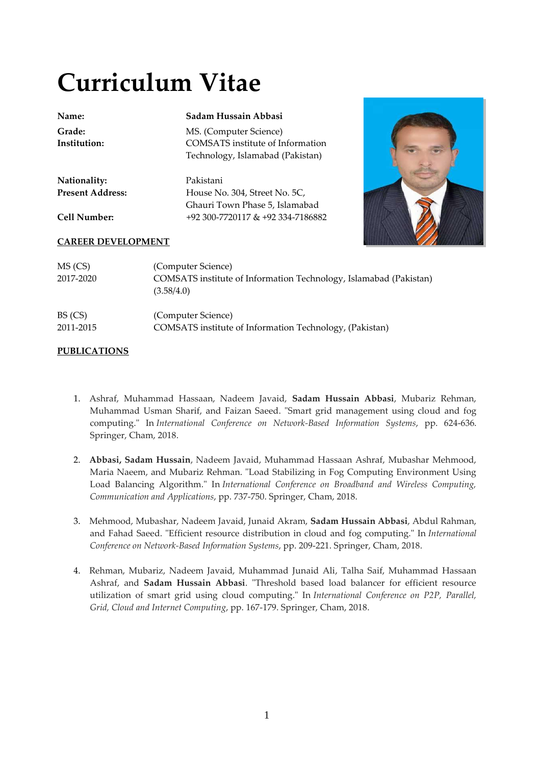# **Curriculum Vitae**

| Name:<br>Grade:           | Sadam Hussain Abbasi<br>MS. (Computer Science)                    |
|---------------------------|-------------------------------------------------------------------|
| Institution:              | <b>COMSATS</b> institute of Information                           |
|                           | Technology, Islamabad (Pakistan)                                  |
| Nationality:              | Pakistani                                                         |
| <b>Present Address:</b>   | House No. 304, Street No. 5C,                                     |
|                           | Ghauri Town Phase 5, Islamabad                                    |
| <b>Cell Number:</b>       | +92 300-7720117 & +92 334-7186882                                 |
| <b>CAREER DEVELOPMENT</b> |                                                                   |
| MS (CS)                   | (Computer Science)                                                |
| 2017-2020                 | COMSATS institute of Information Technology, Islamabad (Pakistan) |
|                           | (3.58/4.0)                                                        |
| BS (CS)                   | (Computer Science)                                                |

2011-2015 COMSATS institute of Information Technology, (Pakistan)

# **PUBLICATIONS**

- 1. Ashraf, Muhammad Hassaan, Nadeem Javaid, **Sadam Hussain Abbasi**, Mubariz Rehman, Muhammad Usman Sharif, and Faizan Saeed. "Smart grid management using cloud and fog computing." In *International Conference on Network-Based Information Systems*, pp. 624-636. Springer, Cham, 2018.
- 2. **Abbasi, Sadam Hussain**, Nadeem Javaid, Muhammad Hassaan Ashraf, Mubashar Mehmood, Maria Naeem, and Mubariz Rehman. "Load Stabilizing in Fog Computing Environment Using Load Balancing Algorithm." In *International Conference on Broadband and Wireless Computing, Communication and Applications*, pp. 737-750. Springer, Cham, 2018.
- 3. Mehmood, Mubashar, Nadeem Javaid, Junaid Akram, **Sadam Hussain Abbasi**, Abdul Rahman, and Fahad Saeed. "Efficient resource distribution in cloud and fog computing." In *International Conference on Network-Based Information Systems*, pp. 209-221. Springer, Cham, 2018.
- 4. Rehman, Mubariz, Nadeem Javaid, Muhammad Junaid Ali, Talha Saif, Muhammad Hassaan Ashraf, and **Sadam Hussain Abbasi**. "Threshold based load balancer for efficient resource utilization of smart grid using cloud computing." In *International Conference on P2P, Parallel, Grid, Cloud and Internet Computing*, pp. 167-179. Springer, Cham, 2018.